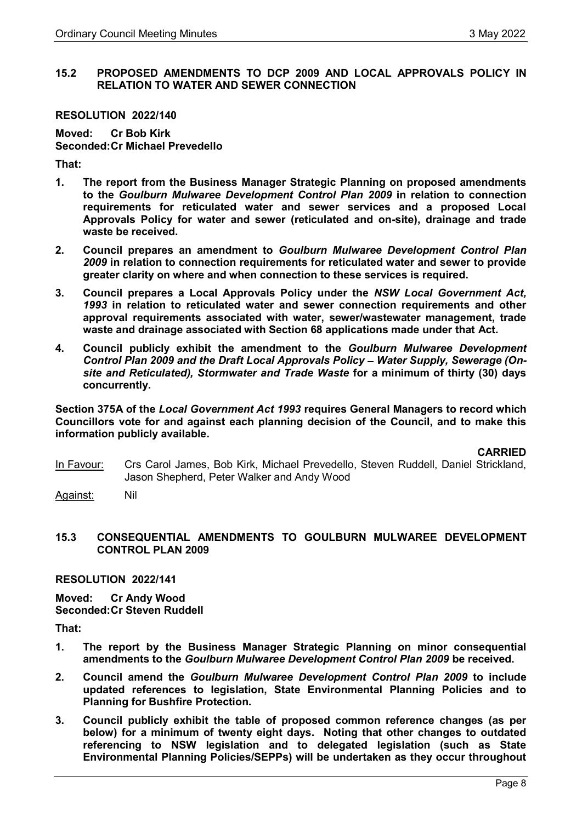## 15.2 PROPOSED AMENDMENTS TO DCP 2009 AND LOCAL APPROVALS POLICY IN RELATION TO WATER AND SEWER CONNECTION

#### RESOLUTION 2022/140

Moved: Cr Bob Kirk Seconded: Cr Michael Prevedello

That:

- 1. The report from the Business Manager Strategic Planning on proposed amendments to the Goulburn Mulwaree Development Control Plan 2009 in relation to connection requirements for reticulated water and sewer services and a proposed Local Approvals Policy for water and sewer (reticulated and on-site), drainage and trade waste be received.
- 2. Council prepares an amendment to Goulburn Mulwaree Development Control Plan 2009 in relation to connection requirements for reticulated water and sewer to provide greater clarity on where and when connection to these services is required.
- 3. Council prepares a Local Approvals Policy under the NSW Local Government Act, 1993 in relation to reticulated water and sewer connection requirements and other approval requirements associated with water, sewer/wastewater management, trade waste and drainage associated with Section 68 applications made under that Act.
- 4. Council publicly exhibit the amendment to the Goulburn Mulwaree Development Control Plan 2009 and the Draft Local Approvals Policy - Water Supply, Sewerage (Onsite and Reticulated), Stormwater and Trade Waste for a minimum of thirty (30) days concurrently.

Section 375A of the Local Government Act 1993 requires General Managers to record which Councillors vote for and against each planning decision of the Council, and to make this information publicly available.

CARRIED

In Favour: Crs Carol James, Bob Kirk, Michael Prevedello, Steven Ruddell, Daniel Strickland, Jason Shepherd, Peter Walker and Andy Wood

Against: Nil

## 15.3 CONSEQUENTIAL AMENDMENTS TO GOULBURN MULWAREE DEVELOPMENT CONTROL PLAN 2009

RESOLUTION 2022/141

Moved: Cr Andy Wood Seconded: Cr Steven Ruddell

That:

- 1. The report by the Business Manager Strategic Planning on minor consequential amendments to the Goulburn Mulwaree Development Control Plan 2009 be received.
- 2. Council amend the Goulburn Mulwaree Development Control Plan 2009 to include updated references to legislation, State Environmental Planning Policies and to Planning for Bushfire Protection.
- 3. Council publicly exhibit the table of proposed common reference changes (as per below) for a minimum of twenty eight days. Noting that other changes to outdated referencing to NSW legislation and to delegated legislation (such as State Environmental Planning Policies/SEPPs) will be undertaken as they occur throughout